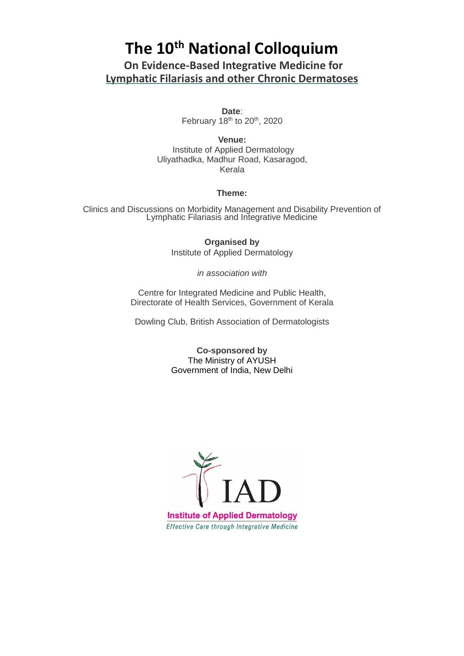## **The 10th National Colloquium**

**On Evidence-Based Integrative Medicine for Lymphatic Filariasis and other Chronic Dermatoses**

> **Date**: February 18<sup>th</sup> to 20<sup>th</sup>, 2020

**Venue:** Institute of Applied Dermatology Uliyathadka, Madhur Road, Kasaragod, Kerala

## **Theme:**

Clinics and Discussions on Morbidity Management and Disability Prevention of Lymphatic Filariasis and Integrative Medicine

> **Organised by** Institute of Applied Dermatology

> > *in association with*

Centre for Integrated Medicine and Public Health, Directorate of Health Services, Government of Kerala

Dowling Club, British Association of Dermatologists

**Co-sponsored by** The Ministry of AYUSH Government of India, New Delhi

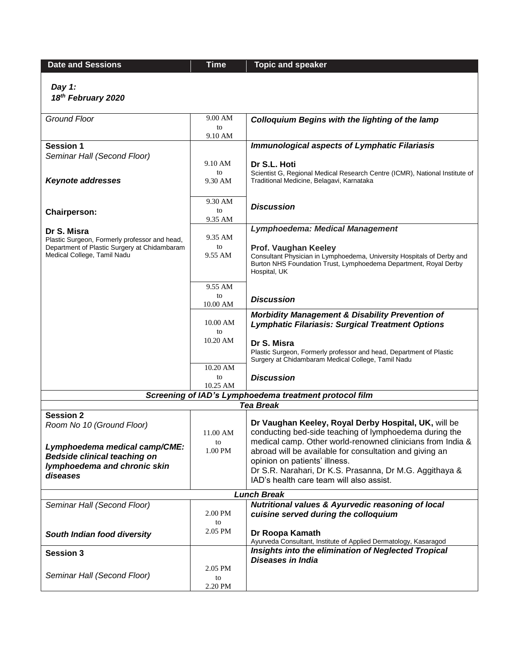**Date and Sessions Time Time Topic** and **speaker** 

*Day 1:*

*18th February 2020*

| <b>Ground Floor</b>                                                         | 9.00 AM        | <b>Colloquium Begins with the lighting of the lamp</b>                                                                                                                             |
|-----------------------------------------------------------------------------|----------------|------------------------------------------------------------------------------------------------------------------------------------------------------------------------------------|
|                                                                             | to             |                                                                                                                                                                                    |
| <b>Session 1</b>                                                            | 9.10 AM        | <b>Immunological aspects of Lymphatic Filariasis</b>                                                                                                                               |
| Seminar Hall (Second Floor)                                                 |                |                                                                                                                                                                                    |
|                                                                             | 9.10 AM        | Dr S.L. Hoti                                                                                                                                                                       |
| <b>Keynote addresses</b>                                                    | to<br>9.30 AM  | Scientist G, Regional Medical Research Centre (ICMR), National Institute of<br>Traditional Medicine, Belagavi, Karnataka                                                           |
|                                                                             | 9.30 AM        |                                                                                                                                                                                    |
|                                                                             | to             | <b>Discussion</b>                                                                                                                                                                  |
| <b>Chairperson:</b>                                                         | 9.35 AM        |                                                                                                                                                                                    |
| Dr S. Misra<br>Plastic Surgeon, Formerly professor and head,                | 9.35 AM        | <b>Lymphoedema: Medical Management</b>                                                                                                                                             |
| Department of Plastic Surgery at Chidambaram<br>Medical College, Tamil Nadu | to<br>9.55 AM  | Prof. Vaughan Keeley<br>Consultant Physician in Lymphoedema, University Hospitals of Derby and<br>Burton NHS Foundation Trust, Lymphoedema Department, Royal Derby<br>Hospital, UK |
|                                                                             | 9.55 AM        |                                                                                                                                                                                    |
|                                                                             | to             | <b>Discussion</b>                                                                                                                                                                  |
|                                                                             | 10.00 AM       |                                                                                                                                                                                    |
|                                                                             | 10.00 AM<br>to | <b>Morbidity Management &amp; Disability Prevention of</b><br><b>Lymphatic Filariasis: Surgical Treatment Options</b>                                                              |
|                                                                             | 10.20 AM       | Dr S. Misra                                                                                                                                                                        |
|                                                                             |                | Plastic Surgeon, Formerly professor and head, Department of Plastic<br>Surgery at Chidambaram Medical College, Tamil Nadu                                                          |
|                                                                             | 10.20 AM       |                                                                                                                                                                                    |
|                                                                             | to<br>10.25 AM | <b>Discussion</b>                                                                                                                                                                  |
|                                                                             |                | Screening of IAD's Lymphoedema treatment protocol film                                                                                                                             |
|                                                                             |                | <b>Tea Break</b>                                                                                                                                                                   |
| <b>Session 2</b><br>Room No 10 (Ground Floor)                               | 11.00 AM       | Dr Vaughan Keeley, Royal Derby Hospital, UK, will be<br>conducting bed-side teaching of lymphoedema during the                                                                     |
| Lymphoedema medical camp/CME:                                               | to             | medical camp. Other world-renowned clinicians from India &                                                                                                                         |
| <b>Bedside clinical teaching on</b>                                         | 1.00 PM        | abroad will be available for consultation and giving an                                                                                                                            |
| lymphoedema and chronic skin                                                |                | opinion on patients' illness.<br>Dr S.R. Narahari, Dr K.S. Prasanna, Dr M.G. Aggithaya &                                                                                           |
| diseases                                                                    |                | IAD's health care team will also assist.                                                                                                                                           |
|                                                                             |                |                                                                                                                                                                                    |
| Seminar Hall (Second Floor)                                                 |                | <b>Lunch Break</b><br><b>Nutritional values &amp; Ayurvedic reasoning of local</b>                                                                                                 |
|                                                                             | 2.00 PM<br>to  | cuisine served during the colloquium                                                                                                                                               |
| South Indian food diversity                                                 | 2.05 PM        | Dr Roopa Kamath<br>Ayurveda Consultant, Institute of Applied Dermatology, Kasaragod                                                                                                |
| <b>Session 3</b>                                                            |                | Insights into the elimination of Neglected Tropical                                                                                                                                |
|                                                                             | 2.05 PM        | Diseases in India                                                                                                                                                                  |
| Seminar Hall (Second Floor)                                                 | to             |                                                                                                                                                                                    |
|                                                                             | 2.20 PM        |                                                                                                                                                                                    |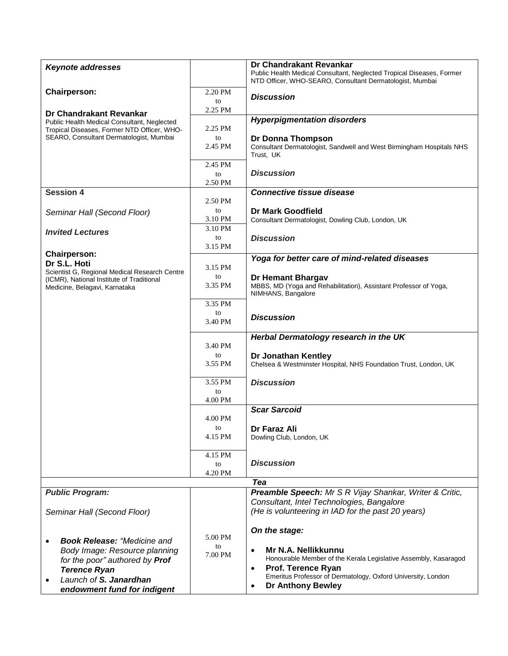| <b>Keynote addresses</b>                      |         | Dr Chandrakant Revankar                                               |
|-----------------------------------------------|---------|-----------------------------------------------------------------------|
|                                               |         | Public Health Medical Consultant, Neglected Tropical Diseases, Former |
|                                               |         | NTD Officer, WHO-SEARO, Consultant Dermatologist, Mumbai              |
| <b>Chairperson:</b>                           | 2.20 PM | <b>Discussion</b>                                                     |
|                                               | to      |                                                                       |
| Dr Chandrakant Revankar                       | 2.25 PM |                                                                       |
| Public Health Medical Consultant, Neglected   |         | <b>Hyperpigmentation disorders</b>                                    |
| Tropical Diseases, Former NTD Officer, WHO-   | 2.25 PM |                                                                       |
| SEARO, Consultant Dermatologist, Mumbai       | to      | Dr Donna Thompson                                                     |
|                                               | 2.45 PM | Consultant Dermatologist, Sandwell and West Birmingham Hospitals NHS  |
|                                               |         | Trust, UK                                                             |
|                                               | 2.45 PM |                                                                       |
|                                               | to      | <b>Discussion</b>                                                     |
|                                               | 2.50 PM |                                                                       |
| <b>Session 4</b>                              |         | <b>Connective tissue disease</b>                                      |
|                                               | 2.50 PM |                                                                       |
| Seminar Hall (Second Floor)                   | to      | <b>Dr Mark Goodfield</b>                                              |
|                                               | 3.10 PM | Consultant Dermatologist, Dowling Club, London, UK                    |
|                                               | 3.10 PM |                                                                       |
| <b>Invited Lectures</b>                       | to      | <b>Discussion</b>                                                     |
|                                               | 3.15 PM |                                                                       |
| <b>Chairperson:</b>                           |         | Yoga for better care of mind-related diseases                         |
| Dr S.L. Hoti                                  |         |                                                                       |
| Scientist G, Regional Medical Research Centre | 3.15 PM |                                                                       |
| (ICMR), National Institute of Traditional     | to      | <b>Dr Hemant Bhargav</b>                                              |
| Medicine, Belagavi, Karnataka                 | 3.35 PM | MBBS, MD (Yoga and Rehabilitation), Assistant Professor of Yoga,      |
|                                               |         | NIMHANS, Bangalore                                                    |
|                                               | 3.35 PM |                                                                       |
|                                               | to      | <b>Discussion</b>                                                     |
|                                               | 3.40 PM |                                                                       |
|                                               |         | Herbal Dermatology research in the UK                                 |
|                                               | 3.40 PM |                                                                       |
|                                               | to      | Dr Jonathan Kentley                                                   |
|                                               | 3.55 PM | Chelsea & Westminster Hospital, NHS Foundation Trust, London, UK      |
|                                               |         |                                                                       |
|                                               | 3.55 PM | <b>Discussion</b>                                                     |
|                                               | to      |                                                                       |
|                                               | 4.00 PM |                                                                       |
|                                               |         | <b>Scar Sarcoid</b>                                                   |
|                                               | 4.00 PM |                                                                       |
|                                               | to      |                                                                       |
|                                               | 4.15 PM | Dr Faraz Ali<br>Dowling Club, London, UK                              |
|                                               |         |                                                                       |
|                                               | 4.15 PM |                                                                       |
|                                               | to      | <b>Discussion</b>                                                     |
|                                               | 4.20 PM |                                                                       |
|                                               |         | Tea                                                                   |
| <b>Public Program:</b>                        |         | Preamble Speech: Mr S R Vijay Shankar, Writer & Critic,               |
|                                               |         | Consultant, Intel Technologies, Bangalore                             |
| Seminar Hall (Second Floor)                   |         | (He is volunteering in IAD for the past 20 years)                     |
|                                               |         |                                                                       |
|                                               |         |                                                                       |
|                                               | 5.00 PM | On the stage:                                                         |
| <b>Book Release: "Medicine and</b>            | to      |                                                                       |
| Body Image: Resource planning                 | 7.00 PM | Mr N.A. Nellikkunnu<br>$\bullet$                                      |
| for the poor" authored by Prof                |         | Honourable Member of the Kerala Legislative Assembly, Kasaragod       |
| <b>Terence Ryan</b>                           |         | <b>Prof. Terence Ryan</b><br>$\bullet$                                |
| Launch of S. Janardhan                        |         | Emeritus Professor of Dermatology, Oxford University, London          |
| endowment fund for indigent                   |         | <b>Dr Anthony Bewley</b><br>$\bullet$                                 |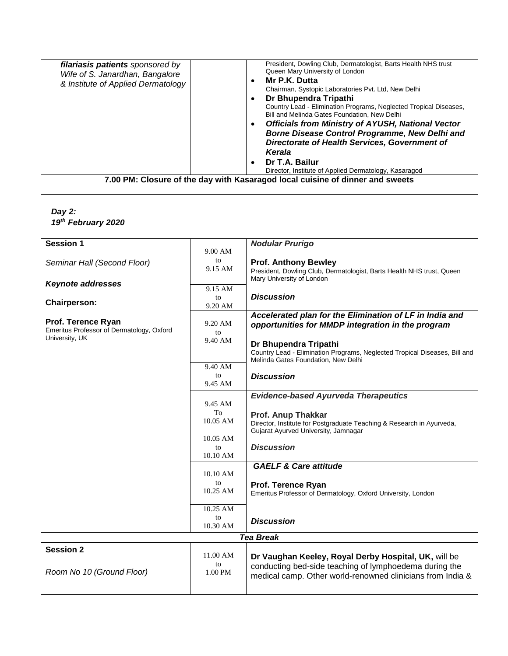| filariasis patients sponsored by          |                | President, Dowling Club, Dermatologist, Barts Health NHS trust<br>Queen Mary University of London                                 |
|-------------------------------------------|----------------|-----------------------------------------------------------------------------------------------------------------------------------|
| Wife of S. Janardhan, Bangalore           |                | Mr P.K. Dutta<br>$\bullet$                                                                                                        |
| & Institute of Applied Dermatology        |                | Chairman, Systopic Laboratories Pvt. Ltd, New Delhi                                                                               |
|                                           |                | Dr Bhupendra Tripathi<br>$\bullet$<br>Country Lead - Elimination Programs, Neglected Tropical Diseases,                           |
|                                           |                | Bill and Melinda Gates Foundation, New Delhi                                                                                      |
|                                           |                | <b>Officials from Ministry of AYUSH, National Vector</b><br>$\bullet$                                                             |
|                                           |                | Borne Disease Control Programme, New Delhi and                                                                                    |
|                                           |                | Directorate of Health Services, Government of<br>Kerala                                                                           |
|                                           |                | Dr T.A. Bailur<br>$\bullet$                                                                                                       |
|                                           |                | Director, Institute of Applied Dermatology, Kasaragod                                                                             |
|                                           |                | 7.00 PM: Closure of the day with Kasaragod local cuisine of dinner and sweets                                                     |
| Day 2:                                    |                |                                                                                                                                   |
| 19th February 2020                        |                |                                                                                                                                   |
|                                           |                |                                                                                                                                   |
| <b>Session 1</b>                          |                | <b>Nodular Prurigo</b>                                                                                                            |
|                                           | 9.00 AM        |                                                                                                                                   |
| Seminar Hall (Second Floor)               | to<br>9.15 AM  | <b>Prof. Anthony Bewley</b><br>President, Dowling Club, Dermatologist, Barts Health NHS trust, Queen<br>Mary University of London |
| <b>Keynote addresses</b>                  | 9.15 AM        |                                                                                                                                   |
| <b>Chairperson:</b>                       | to<br>9.20 AM  | <b>Discussion</b>                                                                                                                 |
| Prof. Terence Ryan                        | 9.20 AM        | Accelerated plan for the Elimination of LF in India and                                                                           |
| Emeritus Professor of Dermatology, Oxford | to             | opportunities for MMDP integration in the program                                                                                 |
| University, UK                            | 9.40 AM        | Dr Bhupendra Tripathi                                                                                                             |
|                                           |                | Country Lead - Elimination Programs, Neglected Tropical Diseases, Bill and                                                        |
|                                           | 9.40 AM        | Melinda Gates Foundation, New Delhi                                                                                               |
|                                           | to<br>9.45 AM  | <b>Discussion</b>                                                                                                                 |
|                                           |                | <b>Evidence-based Ayurveda Therapeutics</b>                                                                                       |
|                                           | 9.45 AM<br>To  |                                                                                                                                   |
|                                           | 10.05 AM       | <b>Prof. Anup Thakkar</b><br>Director, Institute for Postgraduate Teaching & Research in Ayurveda,                                |
|                                           |                | Gujarat Ayurved University, Jamnagar                                                                                              |
|                                           | 10.05 AM<br>to | <b>Discussion</b>                                                                                                                 |
|                                           | 10.10 AM       |                                                                                                                                   |
|                                           | 10.10 AM       | <b>GAELF &amp; Care attitude</b>                                                                                                  |
|                                           | to             | Prof. Terence Ryan                                                                                                                |
|                                           | 10.25 AM       | Emeritus Professor of Dermatology, Oxford University, London                                                                      |
|                                           | 10.25 AM       |                                                                                                                                   |
|                                           | to<br>10.30 AM | <b>Discussion</b>                                                                                                                 |
|                                           |                | <b>Tea Break</b>                                                                                                                  |
| <b>Session 2</b>                          | 11.00 AM       |                                                                                                                                   |
|                                           | to             | Dr Vaughan Keeley, Royal Derby Hospital, UK, will be<br>conducting bed-side teaching of lymphoedema during the                    |
| Room No 10 (Ground Floor)                 | 1.00 PM        | medical camp. Other world-renowned clinicians from India &                                                                        |
|                                           |                |                                                                                                                                   |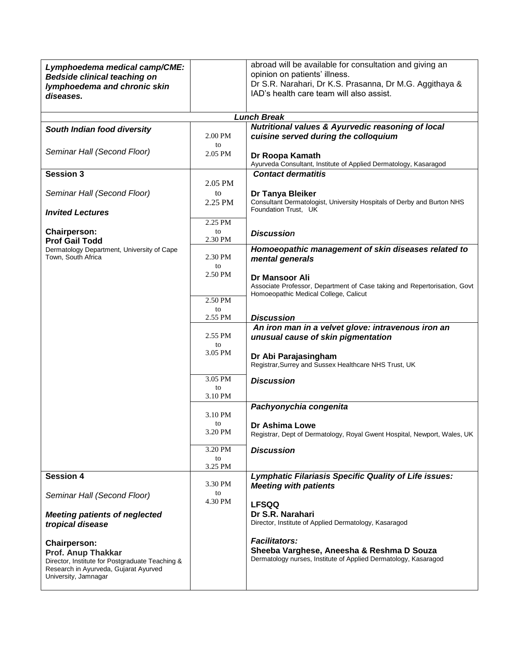| Lymphoedema medical camp/CME:<br><b>Bedside clinical teaching on</b><br>lymphoedema and chronic skin<br>diseases.                                             |               | abroad will be available for consultation and giving an<br>opinion on patients' illness.<br>Dr S.R. Narahari, Dr K.S. Prasanna, Dr M.G. Aggithaya &<br>IAD's health care team will also assist. |
|---------------------------------------------------------------------------------------------------------------------------------------------------------------|---------------|-------------------------------------------------------------------------------------------------------------------------------------------------------------------------------------------------|
|                                                                                                                                                               |               | <b>Lunch Break</b>                                                                                                                                                                              |
| South Indian food diversity                                                                                                                                   | 2.00 PM<br>to | <b>Nutritional values &amp; Ayurvedic reasoning of local</b><br>cuisine served during the colloquium                                                                                            |
| Seminar Hall (Second Floor)                                                                                                                                   | 2.05 PM       | Dr Roopa Kamath<br>Ayurveda Consultant, Institute of Applied Dermatology, Kasaragod                                                                                                             |
| <b>Session 3</b>                                                                                                                                              |               | <b>Contact dermatitis</b>                                                                                                                                                                       |
| Seminar Hall (Second Floor)                                                                                                                                   | 2.05 PM<br>to | Dr Tanya Bleiker                                                                                                                                                                                |
| <b>Invited Lectures</b>                                                                                                                                       | 2.25 PM       | Consultant Dermatologist, University Hospitals of Derby and Burton NHS<br>Foundation Trust, UK                                                                                                  |
|                                                                                                                                                               | 2.25 PM       |                                                                                                                                                                                                 |
| <b>Chairperson:</b><br><b>Prof Gail Todd</b>                                                                                                                  | to<br>2.30 PM | <b>Discussion</b>                                                                                                                                                                               |
| Dermatology Department, University of Cape<br>Town, South Africa                                                                                              | 2.30 PM       | Homoeopathic management of skin diseases related to<br>mental generals                                                                                                                          |
|                                                                                                                                                               | to<br>2.50 PM | Dr Mansoor Ali<br>Associate Professor, Department of Case taking and Repertorisation, Govt                                                                                                      |
|                                                                                                                                                               | 2.50 PM<br>to | Homoeopathic Medical College, Calicut                                                                                                                                                           |
|                                                                                                                                                               | 2.55 PM       | <b>Discussion</b>                                                                                                                                                                               |
|                                                                                                                                                               | 2.55 PM<br>to | An iron man in a velvet glove: intravenous iron an<br>unusual cause of skin pigmentation                                                                                                        |
|                                                                                                                                                               | 3.05 PM       | Dr Abi Parajasingham<br>Registrar, Surrey and Sussex Healthcare NHS Trust, UK                                                                                                                   |
|                                                                                                                                                               | 3.05 PM<br>to | <b>Discussion</b>                                                                                                                                                                               |
|                                                                                                                                                               | 3.10 PM       |                                                                                                                                                                                                 |
|                                                                                                                                                               | 3.10 PM       | Pachyonychia congenita                                                                                                                                                                          |
|                                                                                                                                                               | to<br>3.20 PM | Dr Ashima Lowe<br>Registrar, Dept of Dermatology, Royal Gwent Hospital, Newport, Wales, UK                                                                                                      |
|                                                                                                                                                               | 3.20 PM<br>to | <b>Discussion</b>                                                                                                                                                                               |
| <b>Session 4</b>                                                                                                                                              | 3.25 PM       | Lymphatic Filariasis Specific Quality of Life issues:                                                                                                                                           |
|                                                                                                                                                               | 3.30 PM       | <b>Meeting with patients</b>                                                                                                                                                                    |
| Seminar Hall (Second Floor)                                                                                                                                   | to<br>4.30 PM | <b>LFSQQ</b>                                                                                                                                                                                    |
| <b>Meeting patients of neglected</b><br>tropical disease                                                                                                      |               | Dr S.R. Narahari<br>Director, Institute of Applied Dermatology, Kasaragod                                                                                                                       |
| <b>Chairperson:</b><br>Prof. Anup Thakkar<br>Director, Institute for Postgraduate Teaching &<br>Research in Ayurveda, Gujarat Ayurved<br>University, Jamnagar |               | <b>Facilitators:</b><br>Sheeba Varghese, Aneesha & Reshma D Souza<br>Dermatology nurses, Institute of Applied Dermatology, Kasaragod                                                            |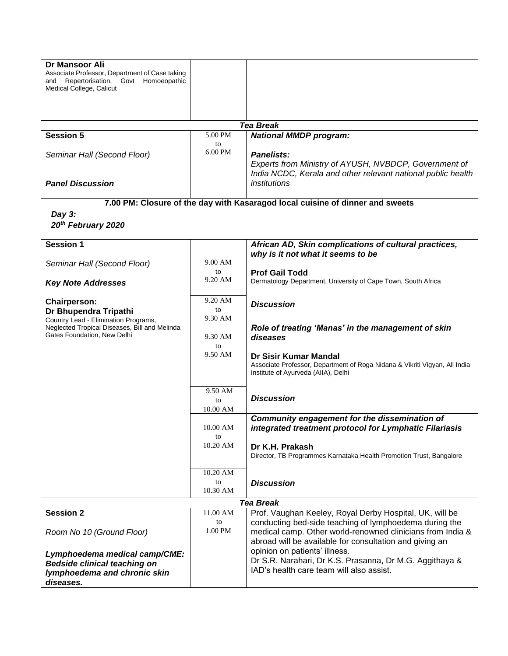| Dr Mansoor Ali<br>Associate Professor, Department of Case taking<br>Repertorisation, Govt Homoeopathic<br>and<br>Medical College, Calicut |                 |                                                                                                                                                                                 |
|-------------------------------------------------------------------------------------------------------------------------------------------|-----------------|---------------------------------------------------------------------------------------------------------------------------------------------------------------------------------|
|                                                                                                                                           |                 | <b>Tea Break</b>                                                                                                                                                                |
| <b>Session 5</b>                                                                                                                          | 5.00 PM         | <b>National MMDP program:</b>                                                                                                                                                   |
| Seminar Hall (Second Floor)<br><b>Panel Discussion</b>                                                                                    | to<br>$6.00$ PM | <b>Panelists:</b><br>Experts from Ministry of AYUSH, NVBDCP, Government of<br>India NCDC, Kerala and other relevant national public health<br>institutions                      |
|                                                                                                                                           |                 |                                                                                                                                                                                 |
|                                                                                                                                           |                 | 7.00 PM: Closure of the day with Kasaragod local cuisine of dinner and sweets                                                                                                   |
| Day $3:$<br>20th February 2020                                                                                                            |                 |                                                                                                                                                                                 |
| <b>Session 1</b>                                                                                                                          |                 | African AD, Skin complications of cultural practices,<br>why is it not what it seems to be                                                                                      |
| Seminar Hall (Second Floor)                                                                                                               | 9.00 AM<br>to   |                                                                                                                                                                                 |
| <b>Key Note Addresses</b>                                                                                                                 | 9.20 AM         | <b>Prof Gail Todd</b><br>Dermatology Department, University of Cape Town, South Africa                                                                                          |
| <b>Chairperson:</b>                                                                                                                       | 9.20 AM         | <b>Discussion</b>                                                                                                                                                               |
| Dr Bhupendra Tripathi                                                                                                                     | to              |                                                                                                                                                                                 |
| Country Lead - Elimination Programs,                                                                                                      | 9.30 AM         |                                                                                                                                                                                 |
| Neglected Tropical Diseases, Bill and Melinda<br>Gates Foundation, New Delhi                                                              | 9.30 AM<br>to   | Role of treating 'Manas' in the management of skin<br>diseases                                                                                                                  |
|                                                                                                                                           | 9.50 AM         | Dr Sisir Kumar Mandal<br>Associate Professor, Department of Roga Nidana & Vikriti Vigyan, All India<br>Institute of Ayurveda (AIIA), Delhi                                      |
|                                                                                                                                           | 9.50 AM<br>to   | <b>Discussion</b>                                                                                                                                                               |
|                                                                                                                                           | 10.00 AM        | Community engagement for the dissemination of                                                                                                                                   |
|                                                                                                                                           | 10.00 AM<br>to  | integrated treatment protocol for Lymphatic Filariasis                                                                                                                          |
|                                                                                                                                           | 10.20 AM        | Dr K.H. Prakash<br>Director, TB Programmes Karnataka Health Promotion Trust, Bangalore                                                                                          |
|                                                                                                                                           | 10.20 AM        |                                                                                                                                                                                 |
|                                                                                                                                           | to<br>10.30 AM  | <b>Discussion</b>                                                                                                                                                               |
|                                                                                                                                           |                 | <b>Tea Break</b>                                                                                                                                                                |
| <b>Session 2</b>                                                                                                                          | 11.00 AM        | Prof. Vaughan Keeley, Royal Derby Hospital, UK, will be                                                                                                                         |
| Room No 10 (Ground Floor)                                                                                                                 | to<br>1.00 PM   | conducting bed-side teaching of lymphoedema during the<br>medical camp. Other world-renowned clinicians from India &<br>abroad will be available for consultation and giving an |
| Lymphoedema medical camp/CME:                                                                                                             |                 | opinion on patients' illness.                                                                                                                                                   |
| <b>Bedside clinical teaching on</b>                                                                                                       |                 | Dr S.R. Narahari, Dr K.S. Prasanna, Dr M.G. Aggithaya &                                                                                                                         |
| lymphoedema and chronic skin<br>diseases.                                                                                                 |                 | IAD's health care team will also assist.                                                                                                                                        |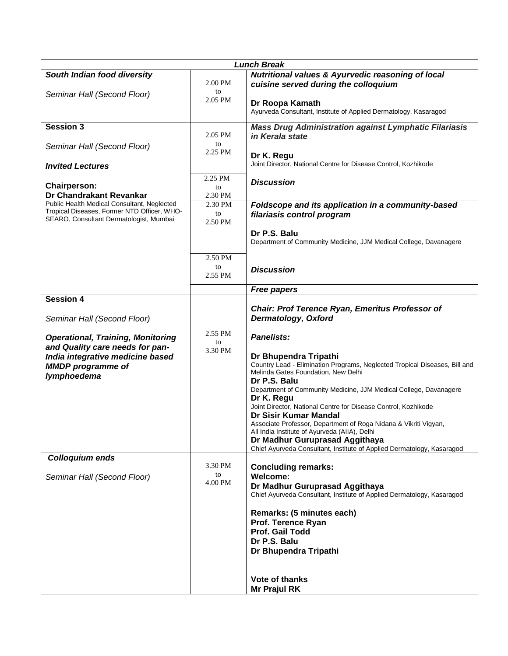| <b>Lunch Break</b>                                                                                                                                         |                          |                                                                                                                                                                                                                                                                                                                                                                                                                                                                                                                                                                                                |
|------------------------------------------------------------------------------------------------------------------------------------------------------------|--------------------------|------------------------------------------------------------------------------------------------------------------------------------------------------------------------------------------------------------------------------------------------------------------------------------------------------------------------------------------------------------------------------------------------------------------------------------------------------------------------------------------------------------------------------------------------------------------------------------------------|
| South Indian food diversity                                                                                                                                | 2.00 PM                  | <b>Nutritional values &amp; Ayurvedic reasoning of local</b><br>cuisine served during the colloquium                                                                                                                                                                                                                                                                                                                                                                                                                                                                                           |
| Seminar Hall (Second Floor)                                                                                                                                | to<br>2.05 PM            | Dr Roopa Kamath<br>Ayurveda Consultant, Institute of Applied Dermatology, Kasaragod                                                                                                                                                                                                                                                                                                                                                                                                                                                                                                            |
| <b>Session 3</b>                                                                                                                                           | 2.05 PM                  | <b>Mass Drug Administration against Lymphatic Filariasis</b><br>in Kerala state                                                                                                                                                                                                                                                                                                                                                                                                                                                                                                                |
| Seminar Hall (Second Floor)<br><b>Invited Lectures</b>                                                                                                     | to<br>2.25 PM            | Dr K. Regu<br>Joint Director, National Centre for Disease Control, Kozhikode                                                                                                                                                                                                                                                                                                                                                                                                                                                                                                                   |
| <b>Chairperson:</b><br>Dr Chandrakant Revankar                                                                                                             | 2.25 PM<br>to<br>2.30 PM | <b>Discussion</b>                                                                                                                                                                                                                                                                                                                                                                                                                                                                                                                                                                              |
| Public Health Medical Consultant, Neglected<br>Tropical Diseases, Former NTD Officer, WHO-<br>SEARO, Consultant Dermatologist, Mumbai                      | 2.30 PM<br>to<br>2.50 PM | Foldscope and its application in a community-based<br>filariasis control program                                                                                                                                                                                                                                                                                                                                                                                                                                                                                                               |
|                                                                                                                                                            |                          | Dr P.S. Balu<br>Department of Community Medicine, JJM Medical College, Davanagere                                                                                                                                                                                                                                                                                                                                                                                                                                                                                                              |
|                                                                                                                                                            | 2.50 PM<br>to<br>2.55 PM | <b>Discussion</b>                                                                                                                                                                                                                                                                                                                                                                                                                                                                                                                                                                              |
|                                                                                                                                                            |                          | <b>Free papers</b>                                                                                                                                                                                                                                                                                                                                                                                                                                                                                                                                                                             |
| <b>Session 4</b><br>Seminar Hall (Second Floor)                                                                                                            |                          | Chair: Prof Terence Ryan, Emeritus Professor of<br>Dermatology, Oxford                                                                                                                                                                                                                                                                                                                                                                                                                                                                                                                         |
| <b>Operational, Training, Monitoring</b><br>and Quality care needs for pan-<br>India integrative medicine based<br><b>MMDP</b> programme of<br>lymphoedema | 2.55 PM<br>to<br>3.30 PM | <b>Panelists:</b><br>Dr Bhupendra Tripathi<br>Country Lead - Elimination Programs, Neglected Tropical Diseases, Bill and<br>Melinda Gates Foundation, New Delhi<br>Dr P.S. Balu<br>Department of Community Medicine, JJM Medical College, Davanagere<br>Dr K. Regu<br>Joint Director, National Centre for Disease Control, Kozhikode<br>Dr Sisir Kumar Mandal<br>Associate Professor, Department of Roga Nidana & Vikriti Vigyan,<br>All India Institute of Ayurveda (AIIA), Delhi<br>Dr Madhur Guruprasad Aggithaya<br>Chief Ayurveda Consultant, Institute of Applied Dermatology, Kasaragod |
| <b>Colloquium ends</b><br>Seminar Hall (Second Floor)                                                                                                      | 3.30 PM<br>to<br>4.00 PM | <b>Concluding remarks:</b><br><b>Welcome:</b><br>Dr Madhur Guruprasad Aggithaya<br>Chief Ayurveda Consultant, Institute of Applied Dermatology, Kasaragod<br>Remarks: (5 minutes each)<br>Prof. Terence Ryan<br>Prof. Gail Todd<br>Dr P.S. Balu<br>Dr Bhupendra Tripathi                                                                                                                                                                                                                                                                                                                       |
|                                                                                                                                                            |                          | <b>Vote of thanks</b><br><b>Mr Prajul RK</b>                                                                                                                                                                                                                                                                                                                                                                                                                                                                                                                                                   |